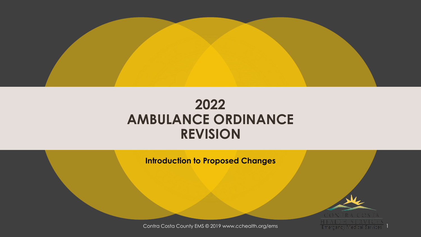

#### **2022 AMBULANCE ORDINANCE REVISION**

**Introduction to Proposed Changes**



Contra Costa County EMS © 2019 www.cchealth.org/ems 1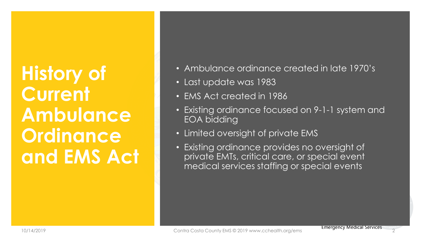## **History of Current Ambulance Ordinance and EMS Act**

- Ambulance ordinance created in late 1970's
- Last update was 1983
- EMS Act created in 1986
- Existing ordinance focused on 9-1-1 system and EOA bidding
- Limited oversight of private EMS
- Existing ordinance provides no oversight of private EMTs, critical care, or special event medical services staffing or special events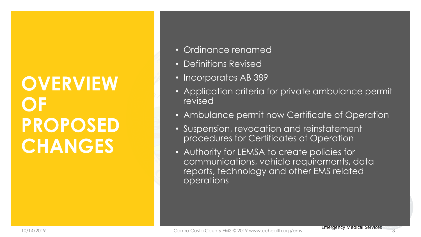### **OVERVIEW OF PROPOSED CHANGES**

- Ordinance renamed
- Definitions Revised
- Incorporates AB 389
- Application criteria for private ambulance permit revised
- Ambulance permit now Certificate of Operation
- Suspension, revocation and reinstatement procedures for Certificates of Operation
- Authority for LEMSA to create policies for communications, vehicle requirements, data reports, technology and other EMS related operations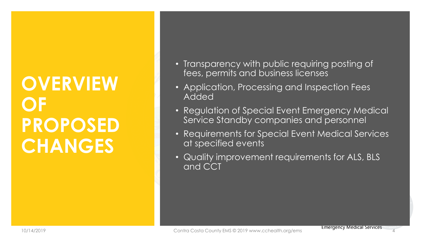### **OVERVIEW OF PROPOSED CHANGES**

- Transparency with public requiring posting of fees, permits and business licenses
- Application, Processing and Inspection Fees Added
- Regulation of Special Event Emergency Medical Service Standby companies and personnel
- Requirements for Special Event Medical Services at specified events
- Quality improvement requirements for ALS, BLS and CCT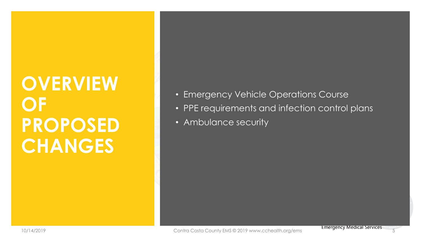### **OVERVIEW OF PROPOSED CHANGES**

- Emergency Vehicle Operations Course
- PPE requirements and infection control plans
- Ambulance security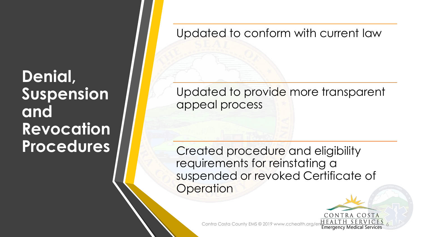**Denial, Suspension and Revocation Procedures**

Updated to conform with current law

Updated to provide more transparent appeal process

Created procedure and eligibility requirements for reinstating a suspended or revoked Certificate of **Operation** 

CONTRA COSTA

Contra Costa County EMS © 2019 www.cchealth.org/enth LALIII 3 LK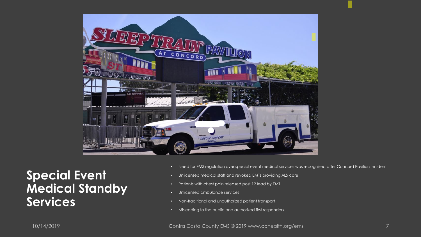

**Special Event Medical Standby Services**

- Need for EMS regulation over special event medical services was recognized after Concord Pavilion incident
- Unlicensed medical staff and revoked EMTs providing ALS care
- Patients with chest pain released post 12 lead by EMT
- Unlicensed ambulance services
- Non-traditional and unauthorized patient transport
- Misleading to the public and authorized first responders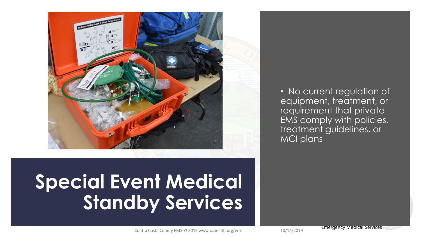

• No current regulation of equipment, treatment, or requirement that private EMS comply with policies, treatment guidelines, or MCI plans

# **Special Event Medical Standby Services**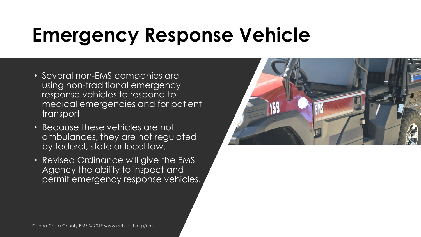# **Emergency Response Vehicle**

- Several non-EMS companies are using non-traditional emergency response vehicles to respond to medical emergencies and for patient transport
- Because these vehicles are not ambulances, they are not regulated by federal, state or local law.
- Revised Ordinance will give the EMS Agency the ability to inspect and permit emergency response vehicles.

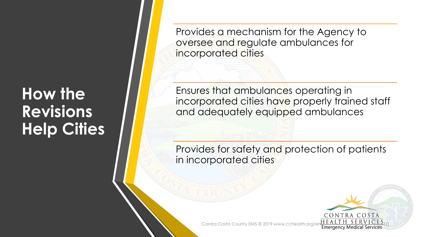#### **How the Revisions Help Cities**

Provides a mechanism for the Agency to oversee and regulate ambulances for incorporated cities

Ensures that ambulances operating in incorporated cities have properly trained staff and adequately equipped ambulances

Provides for safety and protection of patients in incorporated cities

CONTRA COSTA

Contra Costa County EMS © 2019 www.cchealth.org/entrol Emergency Medical